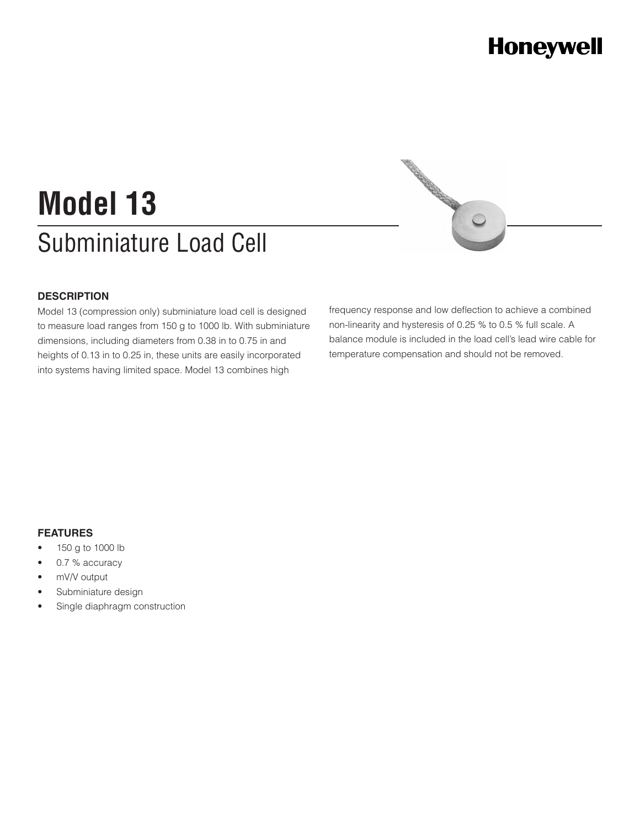## **Honeywell**

# Subminiature Load Cell **Model 13**

#### **DESCRIPTION**

Model 13 (compression only) subminiature load cell is designed to measure load ranges from 150 g to 1000 lb. With subminiature dimensions, including diameters from 0.38 in to 0.75 in and heights of 0.13 in to 0.25 in, these units are easily incorporated into systems having limited space. Model 13 combines high

frequency response and low deflection to achieve a combined non-linearity and hysteresis of 0.25 % to 0.5 % full scale. A balance module is included in the load cell's lead wire cable for temperature compensation and should not be removed.

CONTROLLED

#### **FEATURES**

- • 150 g to 1000 lb
- 0.7 % accuracy
- mV/V output
- Subminiature design
- Single diaphragm construction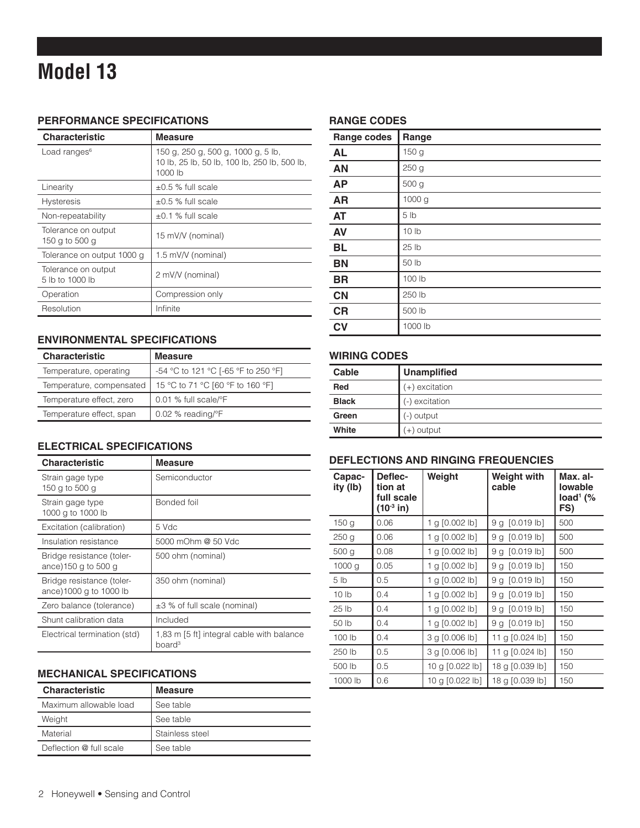### **Model 13**

#### **PERFORMANCE SPECIFICATIONS**

| <b>Characteristic</b>                  | <b>Measure</b>                                                                                |
|----------------------------------------|-----------------------------------------------------------------------------------------------|
| Load ranges <sup>6</sup>               | 150 g, 250 g, 500 g, 1000 g, 5 lb,<br>10 lb, 25 lb, 50 lb, 100 lb, 250 lb, 500 lb,<br>1000 lb |
| Linearity                              | $\pm 0.5$ % full scale                                                                        |
| <b>Hysteresis</b>                      | $\pm 0.5$ % full scale                                                                        |
| Non-repeatability                      | $\pm 0.1$ % full scale                                                                        |
| Tolerance on output<br>150 g to 500 g  | 15 mV/V (nominal)                                                                             |
| Tolerance on output 1000 g             | 1.5 mV/V (nominal)                                                                            |
| Tolerance on output<br>5 lb to 1000 lb | 2 mV/V (nominal)                                                                              |
| Operation                              | Compression only                                                                              |
| Resolution                             | Infinite                                                                                      |

#### **ENVIRONMENTAL SPECIFICATIONS**

| <b>Characteristic</b>    | <b>Measure</b>                      |
|--------------------------|-------------------------------------|
| Temperature, operating   | -54 °C to 121 °C [-65 °F to 250 °F] |
| Temperature, compensated | 15 °C to 71 °C [60 °F to 160 °F]    |
| Temperature effect, zero | 0.01 % full scale/°F                |
| Temperature effect, span | $0.02$ % reading/ $\degree$ F       |

#### **ELECTRICAL SPECIFICATIONS**

| <b>Characteristic</b>                               | Measure                                                         |
|-----------------------------------------------------|-----------------------------------------------------------------|
| Strain gage type<br>150 g to 500 g                  | Semiconductor                                                   |
| Strain gage type<br>1000 g to 1000 lb               | Bonded foil                                                     |
| Excitation (calibration)                            | 5 Vdc                                                           |
| Insulation resistance                               | 5000 mOhm @ 50 Vdc                                              |
| Bridge resistance (toler-<br>ance)150 g to 500 g    | 500 ohm (nominal)                                               |
| Bridge resistance (toler-<br>ance)1000 g to 1000 lb | 350 ohm (nominal)                                               |
| Zero balance (tolerance)                            | ±3 % of full scale (nominal)                                    |
| Shunt calibration data                              | Included                                                        |
| Electrical termination (std)                        | 1,83 m [5 ft] integral cable with balance<br>board <sup>3</sup> |

#### **MECHANICAL SPECIFICATIONS**

| <b>Characteristic</b>   | <b>Measure</b>  |
|-------------------------|-----------------|
| Maximum allowable load  | See table       |
| Weight                  | See table       |
| Material                | Stainless steel |
| Deflection @ full scale | See table       |

#### **RANGE CODES**

| Range codes | Range            |
|-------------|------------------|
| <b>AL</b>   | 150 g            |
| <b>AN</b>   | 250 g            |
| <b>AP</b>   | 500 g            |
| <b>AR</b>   | 1000 g           |
| <b>AT</b>   | 5 <sub>1b</sub>  |
| <b>AV</b>   | 10 <sub>1b</sub> |
| BL          | 25 lb            |
| <b>BN</b>   | 50 lb            |
| <b>BR</b>   | 100 lb           |
| <b>CN</b>   | 250 lb           |
| <b>CR</b>   | 500 lb           |
| <b>CV</b>   | 1000 lb          |

#### **WIRING CODES**

| Cable        | <b>Unamplified</b> |
|--------------|--------------------|
| <b>Red</b>   | $(+)$ excitation   |
| <b>Black</b> | (-) excitation     |
| Green        | (-) output         |
| White        | (+) output         |

#### **DEFLECTIONS AND RINGING FREQUENCIES**

| Capac-<br>ity (lb) | Deflec-<br>tion at<br>full scale<br>(10 <sup>3</sup> in) | Weight           | <b>Weight with</b><br>cable | Max. al-<br>lowable<br>$load1$ (%<br>FS) |
|--------------------|----------------------------------------------------------|------------------|-----------------------------|------------------------------------------|
| 150 <sub>g</sub>   | 0.06                                                     | 1 g $[0.002$ lb] | $[0.019$ lb]<br>9 g         | 500                                      |
| 250 <sub>g</sub>   | 0.06                                                     | 1 g $[0.002$ lb] | 9 g [0.019 lb]              | 500                                      |
| 500 <sub>g</sub>   | 0.08                                                     | 1 g $[0.002$ lb] | 9 g [0.019 lb]              | 500                                      |
| 1000 <sub>g</sub>  | 0.05                                                     | 1 g $[0.002$ lb] | 9 g [0.019 lb]              | 150                                      |
| 5 <sub>1b</sub>    | 0.5                                                      | 1 g $[0.002$ lb] | 9 g [0.019 lb]              | 150                                      |
| 10 <sub>1b</sub>   | 0.4                                                      | 1 g [0.002 lb]   | 9 g [0.019 lb]              | 150                                      |
| 25 <sub>1b</sub>   | 0.4                                                      | 1 g $[0.002$ lb] | 9 g [0.019 lb]              | 150                                      |
| 50 lb              | 0.4                                                      | 1 g $[0.002$ lb] | 9 g [0.019 lb]              | 150                                      |
| 100 lb             | 0.4                                                      | 3 g [0.006 lb]   | 11 g [0.024 lb]             | 150                                      |
| 250 lb             | 0.5                                                      | 3 g [0.006 lb]   | 11 g [0.024 lb]             | 150                                      |
| 500 lb             | 0.5                                                      | 10 g [0.022 lb]  | 18 g [0.039 lb]             | 150                                      |
| 1000 lb            | 0.6                                                      | 10 g [0.022 lb]  | 18 g [0.039 lb]             | 150                                      |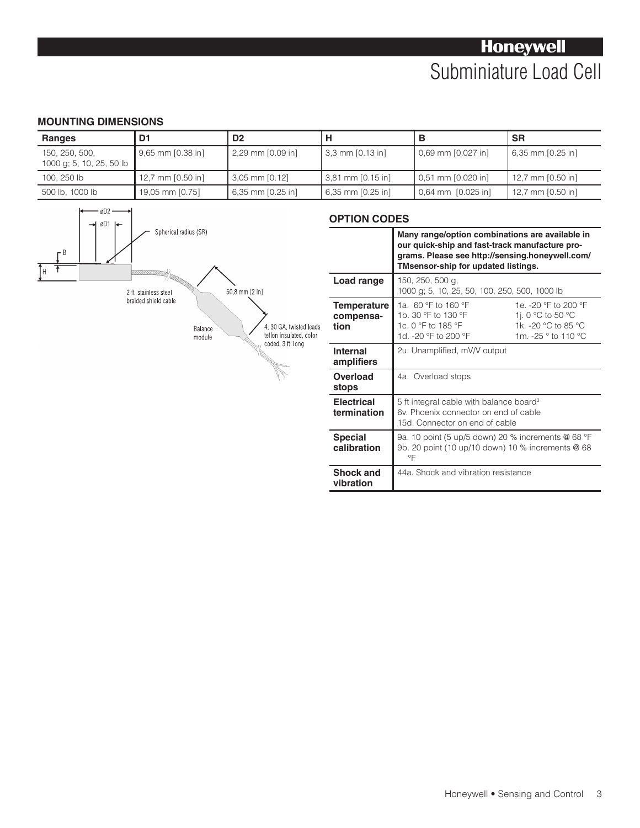### **Honeywell** Subminiature Load Cell

#### **MOUNTING DIMENSIONS**

| <b>Ranges</b>                              | D1                 | D <sub>2</sub>       |                      |                    | <b>SR</b>           |
|--------------------------------------------|--------------------|----------------------|----------------------|--------------------|---------------------|
| 150, 250, 500,<br>1000 g; 5, 10, 25, 50 lb | 9,65 mm [0.38 in]  | $2,29$ mm $[0.09$ in | $3,3$ mm $[0.13$ in] | 0,69 mm [0.027 in] | 6,35 mm $[0.25$ in] |
| 100, 250 lb                                | 12,7 mm $[0.50$ in | 3,05 mm [0.12]       | 3,81 mm [0.15 in]    | 0.51 mm [0.020 in] | 12,7 mm [0.50 in]   |
| 500 lb, 1000 lb                            | 19,05 mm [0.75]    | 6,35 mm [0.25 in]    | 6,35 mm [0.25 in]    | 0.64 mm [0.025 in] | 12,7 mm [0.50 in]   |

**vibration**



#### **OPTION CODES Many range/option combinations are available in our quick-ship and fast-track manufacture programs. Please see http://sensing.honeywell.com/ TMsensor-ship for updated listings. Load range** 150, 250, 500 g, 1000 g; 5, 10, 25, 50, 100, 250, 500, 1000 lb **Temperature compensation** 1a. 60 °F to 160 °F 1b. 30 °F to 130 °F 1c. 0 °F to 185 °F 1d. -20 °F to 200 °F 1e. -20 °F to 200 °F 1j. 0 °C to 50 °C 1k. -20 °C to 85 °C 1m. -25 ° to 110 °C **Internal amplifiers** 2u. Unamplified, mV/V output **Overload stops** 4a. Overload stops

| อเบมอ                            |                                                                                                                                |
|----------------------------------|--------------------------------------------------------------------------------------------------------------------------------|
| <b>Electrical</b><br>termination | 5 ft integral cable with balance board <sup>3</sup><br>6v. Phoenix connector on end of cable<br>15d. Connector on end of cable |
| <b>Special</b><br>calibration    | 9a. 10 point (5 up/5 down) 20 % increments @ 68 °F<br>9b. 20 point (10 up/10 down) 10 % increments @ 68<br>°F                  |
| <b>Shock and</b>                 | 44a. Shock and vibration resistance                                                                                            |